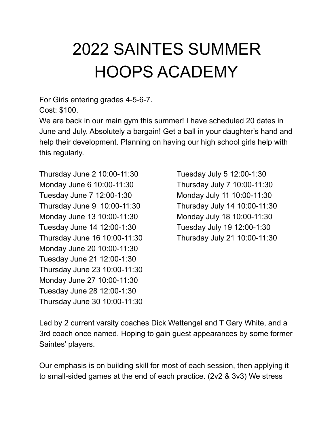## 2022 SAINTES SUMMER HOOPS ACADEMY

For Girls entering grades 4-5-6-7.

Cost: \$100.

We are back in our main gym this summer! I have scheduled 20 dates in June and July. Absolutely a bargain! Get a ball in your daughter's hand and help their development. Planning on having our high school girls help with this regularly.

Thursday June 2 10:00-11:30 Tuesday July 5 12:00-1:30 Monday June 6 10:00-11:30 Thursday July 7 10:00-11:30 Tuesday June 7 12:00-1:30 Monday July 11 10:00-11:30 Thursday June 9 10:00-11:30 Thursday July 14 10:00-11:30 Monday June 13 10:00-11:30 Monday July 18 10:00-11:30 Tuesday June 14 12:00-1:30 Tuesday July 19 12:00-1:30 Thursday June 16 10:00-11:30 Thursday July 21 10:00-11:30 Monday June 20 10:00-11:30 Tuesday June 21 12:00-1:30 Thursday June 23 10:00-11:30 Monday June 27 10:00-11:30 Tuesday June 28 12:00-1:30 Thursday June 30 10:00-11:30

Led by 2 current varsity coaches Dick Wettengel and T Gary White, and a 3rd coach once named. Hoping to gain guest appearances by some former Saintes' players.

Our emphasis is on building skill for most of each session, then applying it to small-sided games at the end of each practice. (2v2 & 3v3) We stress